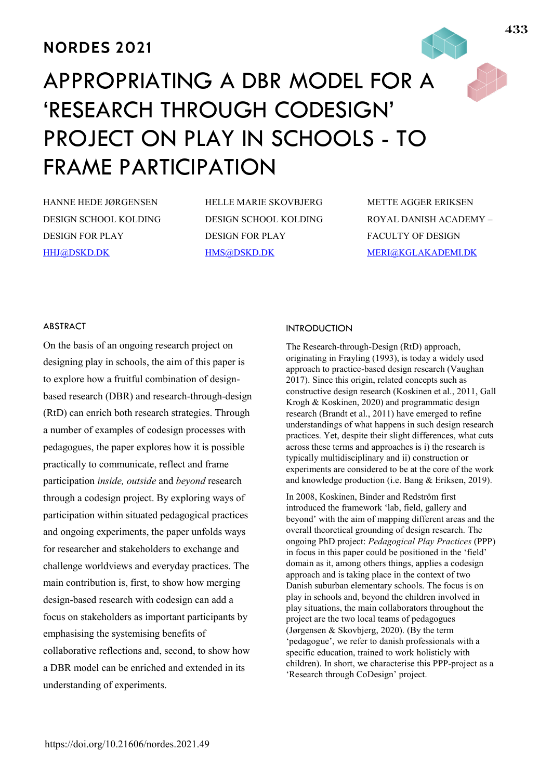# **NORDES 2021**

# APPROPRIATING A DBR MODEL FOR A 'RESEARCH THROUGH CODESIGN' PROJECT ON PLAY IN SCHOOLS - TO FRAME PARTICIPATION

HANNE HEDE JØRGENSEN DESIGN SCHOOL KOLDING DESIGN FOR PLAY HHJ@DSKD.DK

HELLE MARIE SKOVBJERG DESIGN SCHOOL KOLDING DESIGN FOR PLAY HMS@DSKD.DK

METTE AGGER ERIKSEN ROYAL DANISH ACADEMY – FACULTY OF DESIGN MERI@KGLAKADEMI.DK

# ABSTRACT

On the basis of an ongoing research project on designing play in schools, the aim of this paper is to explore how a fruitful combination of designbased research (DBR) and research-through-design (RtD) can enrich both research strategies. Through a number of examples of codesign processes with pedagogues, the paper explores how it is possible practically to communicate, reflect and frame participation *inside, outside* and *beyond* research through a codesign project. By exploring ways of participation within situated pedagogical practices and ongoing experiments, the paper unfolds ways for researcher and stakeholders to exchange and challenge worldviews and everyday practices. The main contribution is, first, to show how merging design-based research with codesign can add a focus on stakeholders as important participants by emphasising the systemising benefits of collaborative reflections and, second, to show how a DBR model can be enriched and extended in its understanding of experiments.

# INTRODUCTION

The Research-through-Design (RtD) approach, originating in Frayling (1993), is today a widely used approach to practice-based design research (Vaughan 2017). Since this origin, related concepts such as constructive design research (Koskinen et al., 2011, Gall Krogh & Koskinen, 2020) and programmatic design research (Brandt et al., 2011) have emerged to refine understandings of what happens in such design research practices. Yet, despite their slight differences, what cuts across these terms and approaches is i) the research is typically multidisciplinary and ii) construction or experiments are considered to be at the core of the work and knowledge production (i.e. Bang & Eriksen, 2019).

In 2008, Koskinen, Binder and Redström first introduced the framework 'lab, field, gallery and beyond' with the aim of mapping different areas and the overall theoretical grounding of design research. The ongoing PhD project: *Pedagogical Play Practices* (PPP) in focus in this paper could be positioned in the 'field' domain as it, among others things, applies a codesign approach and is taking place in the context of two Danish suburban elementary schools. The focus is on play in schools and, beyond the children involved in play situations, the main collaborators throughout the project are the two local teams of pedagogues (Jørgensen & Skovbjerg, 2020). (By the term 'pedagogue', we refer to danish professionals with a specific education, trained to work holisticly with children). In short, we characterise this PPP-project as a 'Research through CoDesign' project.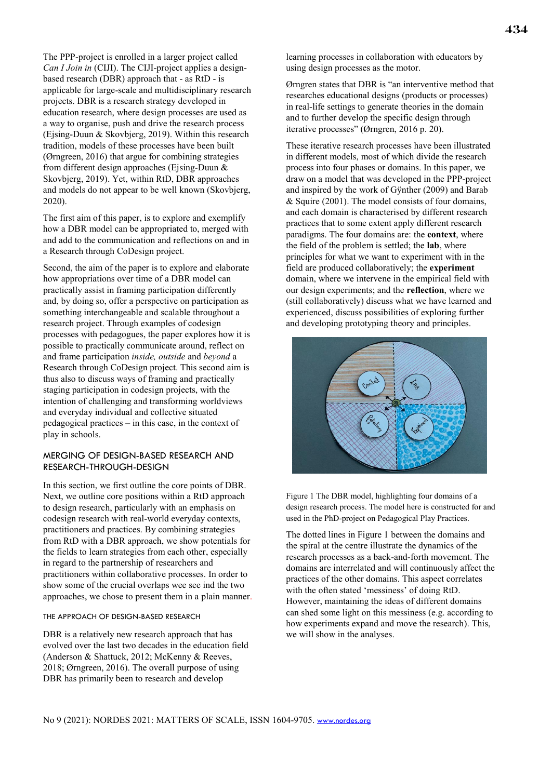The PPP-project is enrolled in a larger project called *Can I Join in* (CIJI). The CIJI-project applies a designbased research (DBR) approach that - as RtD - is applicable for large-scale and multidisciplinary research projects. DBR is a research strategy developed in education research, where design processes are used as a way to organise, push and drive the research process (Ejsing-Duun & Skovbjerg, 2019). Within this research tradition, models of these processes have been built (Ørngreen, 2016) that argue for combining strategies from different design approaches (Ejsing-Duun & Skovbjerg, 2019). Yet, within RtD, DBR approaches and models do not appear to be well known (Skovbjerg, 2020).

The first aim of this paper, is to explore and exemplify how a DBR model can be appropriated to, merged with and add to the communication and reflections on and in a Research through CoDesign project.

Second, the aim of the paper is to explore and elaborate how appropriations over time of a DBR model can practically assist in framing participation differently and, by doing so, offer a perspective on participation as something interchangeable and scalable throughout a research project. Through examples of codesign processes with pedagogues, the paper explores how it is possible to practically communicate around, reflect on and frame participation *inside, outside* and *beyond* a Research through CoDesign project. This second aim is thus also to discuss ways of framing and practically staging participation in codesign projects, with the intention of challenging and transforming worldviews and everyday individual and collective situated pedagogical practices – in this case, in the context of play in schools.

# MERGING OF DESIGN-BASED RESEARCH AND RESEARCH-THROUGH-DESIGN

In this section, we first outline the core points of DBR. Next, we outline core positions within a RtD approach to design research, particularly with an emphasis on codesign research with real-world everyday contexts, practitioners and practices. By combining strategies from RtD with a DBR approach, we show potentials for the fields to learn strategies from each other, especially in regard to the partnership of researchers and practitioners within collaborative processes. In order to show some of the crucial overlaps wee see ind the two approaches, we chose to present them in a plain manner.

# THE APPROACH OF DESIGN-BASED RESEARCH

DBR is a relatively new research approach that has evolved over the last two decades in the education field (Anderson & Shattuck, 2012; McKenny & Reeves, 2018; Ørngreen, 2016). The overall purpose of using DBR has primarily been to research and develop

learning processes in collaboration with educators by using design processes as the motor.

Ørngren states that DBR is "an interventive method that researches educational designs (products or processes) in real-life settings to generate theories in the domain and to further develop the specific design through iterative processes" (Ørngren, 2016 p. 20).

These iterative research processes have been illustrated in different models, most of which divide the research process into four phases or domains. In this paper, we draw on a model that was developed in the PPP-project and inspired by the work of Gÿnther (2009) and Barab & Squire (2001). The model consists of four domains, and each domain is characterised by different research practices that to some extent apply different research paradigms. The four domains are: the **context**, where the field of the problem is settled; the **lab**, where principles for what we want to experiment with in the field are produced collaboratively; the **experiment** domain, where we intervene in the empirical field with our design experiments; and the **reflection**, where we (still collaboratively) discuss what we have learned and experienced, discuss possibilities of exploring further and developing prototyping theory and principles.



Figure 1 The DBR model, highlighting four domains of a design research process. The model here is constructed for and used in the PhD-project on Pedagogical Play Practices.

The dotted lines in Figure 1 between the domains and the spiral at the centre illustrate the dynamics of the research processes as a back-and-forth movement. The domains are interrelated and will continuously affect the practices of the other domains. This aspect correlates with the often stated 'messiness' of doing RtD. However, maintaining the ideas of different domains can shed some light on this messiness (e.g. according to how experiments expand and move the research). This, we will show in the analyses.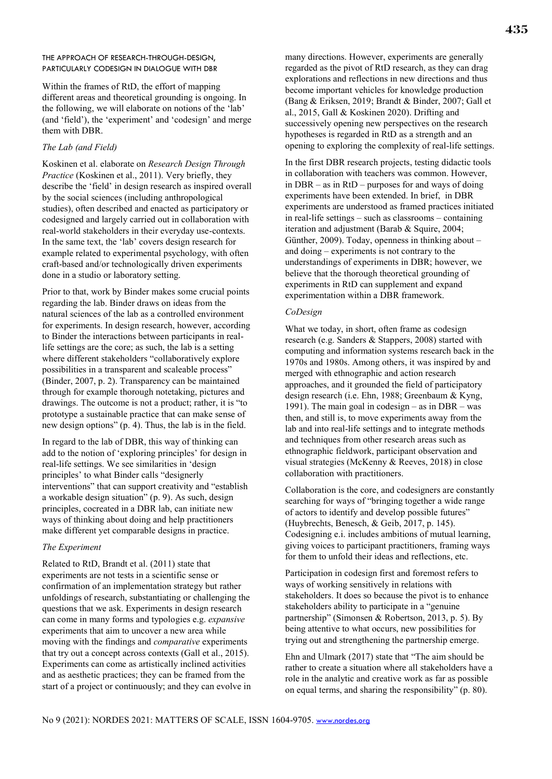### THE APPROACH OF RESEARCH-THROUGH-DESIGN, PARTICULARLY CODESIGN IN DIALOGUE WITH DBR

Within the frames of RtD, the effort of mapping different areas and theoretical grounding is ongoing. In the following, we will elaborate on notions of the 'lab' (and 'field'), the 'experiment' and 'codesign' and merge them with DBR.

### *The Lab (and Field)*

Koskinen et al. elaborate on *Research Design Through Practice* (Koskinen et al., 2011). Very briefly, they describe the 'field' in design research as inspired overall by the social sciences (including anthropological studies), often described and enacted as participatory or codesigned and largely carried out in collaboration with real-world stakeholders in their everyday use-contexts. In the same text, the 'lab' covers design research for example related to experimental psychology, with often craft-based and/or technologically driven experiments done in a studio or laboratory setting.

Prior to that, work by Binder makes some crucial points regarding the lab. Binder draws on ideas from the natural sciences of the lab as a controlled environment for experiments. In design research, however, according to Binder the interactions between participants in reallife settings are the core; as such, the lab is a setting where different stakeholders "collaboratively explore possibilities in a transparent and scaleable process" (Binder, 2007, p. 2). Transparency can be maintained through for example thorough notetaking, pictures and drawings. The outcome is not a product; rather, it is "to prototype a sustainable practice that can make sense of new design options" (p. 4). Thus, the lab is in the field.

In regard to the lab of DBR, this way of thinking can add to the notion of 'exploring principles' for design in real-life settings. We see similarities in 'design principles' to what Binder calls "designerly interventions" that can support creativity and "establish a workable design situation" (p. 9). As such, design principles, cocreated in a DBR lab, can initiate new ways of thinking about doing and help practitioners make different yet comparable designs in practice.

#### *The Experiment*

Related to RtD, Brandt et al. (2011) state that experiments are not tests in a scientific sense or confirmation of an implementation strategy but rather unfoldings of research, substantiating or challenging the questions that we ask. Experiments in design research can come in many forms and typologies e.g. *expansive*  experiments that aim to uncover a new area while moving with the findings and *comparative* experiments that try out a concept across contexts (Gall et al., 2015). Experiments can come as artistically inclined activities and as aesthetic practices; they can be framed from the start of a project or continuously; and they can evolve in (Bang & Eriksen, 2019; Brandt & Binder, 2007; Gall et al., 2015, Gall & Koskinen 2020). Drifting and successively opening new perspectives on the research hypotheses is regarded in RtD as a strength and an opening to exploring the complexity of real-life settings.

In the first DBR research projects, testing didactic tools in collaboration with teachers was common. However, in DBR – as in RtD – purposes for and ways of doing experiments have been extended. In brief, in DBR experiments are understood as framed practices initiated in real-life settings – such as classrooms – containing iteration and adjustment (Barab & Squire, 2004; Günther, 2009). Today, openness in thinking about – and doing – experiments is not contrary to the understandings of experiments in DBR; however, we believe that the thorough theoretical grounding of experiments in RtD can supplement and expand experimentation within a DBR framework.

#### *CoDesign*

What we today, in short, often frame as codesign research (e.g. Sanders & Stappers, 2008) started with computing and information systems research back in the 1970s and 1980s. Among others, it was inspired by and merged with ethnographic and action research approaches, and it grounded the field of participatory design research (i.e. Ehn, 1988; Greenbaum & Kyng, 1991). The main goal in codesign – as in DBR – was then, and still is, to move experiments away from the lab and into real-life settings and to integrate methods and techniques from other research areas such as ethnographic fieldwork, participant observation and visual strategies (McKenny & Reeves, 2018) in close collaboration with practitioners.

Collaboration is the core, and codesigners are constantly searching for ways of "bringing together a wide range of actors to identify and develop possible futures" (Huybrechts, Benesch, & Geib, 2017, p. 145). Codesigning e.i. includes ambitions of mutual learning, giving voices to participant practitioners, framing ways for them to unfold their ideas and reflections, etc.

Participation in codesign first and foremost refers to ways of working sensitively in relations with stakeholders. It does so because the pivot is to enhance stakeholders ability to participate in a "genuine partnership" (Simonsen & Robertson, 2013, p. 5). By being attentive to what occurs, new possibilities for trying out and strengthening the partnership emerge.

Ehn and Ulmark (2017) state that "The aim should be rather to create a situation where all stakeholders have a role in the analytic and creative work as far as possible on equal terms, and sharing the responsibility" (p. 80).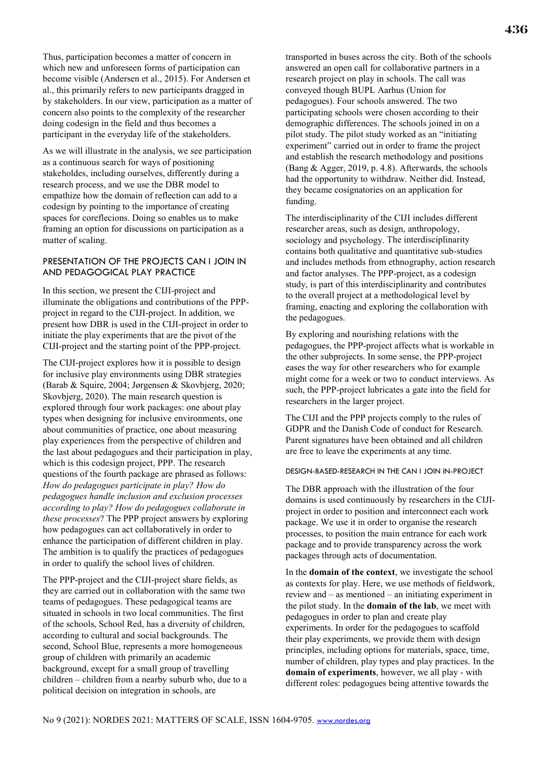Thus, participation becomes a matter of concern in which new and unforeseen forms of participation can become visible (Andersen et al., 2015). For Andersen et al., this primarily refers to new participants dragged in by stakeholders. In our view, participation as a matter of concern also points to the complexity of the researcher doing codesign in the field and thus becomes a participant in the everyday life of the stakeholders.

As we will illustrate in the analysis, we see participation as a continuous search for ways of positioning stakeholdes, including ourselves, differently during a research process, and we use the DBR model to empathize how the domain of reflection can add to a codesign by pointing to the importance of creating spaces for coreflecions. Doing so enables us to make framing an option for discussions on participation as a matter of scaling.

# PRESENTATION OF THE PROJECTS CAN I JOIN IN AND PEDAGOGICAL PLAY PRACTICE

In this section, we present the CIJI-project and illuminate the obligations and contributions of the PPPproject in regard to the CIJI-project. In addition, we present how DBR is used in the CIJI-project in order to initiate the play experiments that are the pivot of the CIJI-project and the starting point of the PPP-project.

The CIJI-project explores how it is possible to design for inclusive play environments using DBR strategies (Barab & Squire, 2004; Jørgensen & Skovbjerg, 2020; Skovbjerg, 2020). The main research question is explored through four work packages: one about play types when designing for inclusive environments, one about communities of practice, one about measuring play experiences from the perspective of children and the last about pedagogues and their participation in play, which is this codesign project, PPP. The research questions of the fourth package are phrased as follows: *How do pedagogues participate in play? How do pedagogues handle inclusion and exclusion processes according to play? How do pedagogues collaborate in these processes*? The PPP project answers by exploring how pedagogues can act collaboratively in order to enhance the participation of different children in play. The ambition is to qualify the practices of pedagogues in order to qualify the school lives of children.

The PPP-project and the CIJI-project share fields, as they are carried out in collaboration with the same two teams of pedagogues. These pedagogical teams are situated in schools in two local communities. The first of the schools, School Red, has a diversity of children, according to cultural and social backgrounds. The second, School Blue, represents a more homogeneous group of children with primarily an academic background, except for a small group of travelling children – children from a nearby suburb who, due to a political decision on integration in schools, are

transported in buses across the city. Both of the schools answered an open call for collaborative partners in a research project on play in schools. The call was conveyed though BUPL Aarhus (Union for pedagogues). Four schools answered. The two participating schools were chosen according to their demographic differences. The schools joined in on a pilot study. The pilot study worked as an "initiating experiment" carried out in order to frame the project and establish the research methodology and positions (Bang & Agger, 2019, p. 4.8). Afterwards, the schools had the opportunity to withdraw. Neither did. Instead, they became cosignatories on an application for funding.

The interdisciplinarity of the CIJI includes different researcher areas, such as design, anthropology, sociology and psychology. The interdisciplinarity contains both qualitative and quantitative sub-studies and includes methods from ethnography, action research and factor analyses. The PPP-project, as a codesign study, is part of this interdisciplinarity and contributes to the overall project at a methodological level by framing, enacting and exploring the collaboration with the pedagogues.

By exploring and nourishing relations with the pedagogues, the PPP-project affects what is workable in the other subprojects. In some sense, the PPP-project eases the way for other researchers who for example might come for a week or two to conduct interviews. As such, the PPP-project lubricates a gate into the field for researchers in the larger project.

The CIJI and the PPP projects comply to the rules of GDPR and the Danish Code of conduct for Research. Parent signatures have been obtained and all children are free to leave the experiments at any time.

#### DESIGN-BASED-RESEARCH IN THE CAN I JOIN IN-PROJECT

The DBR approach with the illustration of the four domains is used continuously by researchers in the CIJIproject in order to position and interconnect each work package. We use it in order to organise the research processes, to position the main entrance for each work package and to provide transparency across the work packages through acts of documentation.

In the **domain of the context**, we investigate the school as contexts for play. Here, we use methods of fieldwork, review and – as mentioned – an initiating experiment in the pilot study. In the **domain of the lab**, we meet with pedagogues in order to plan and create play experiments. In order for the pedagogues to scaffold their play experiments, we provide them with design principles, including options for materials, space, time, number of children, play types and play practices. In the **domain of experiments**, however, we all play - with different roles: pedagogues being attentive towards the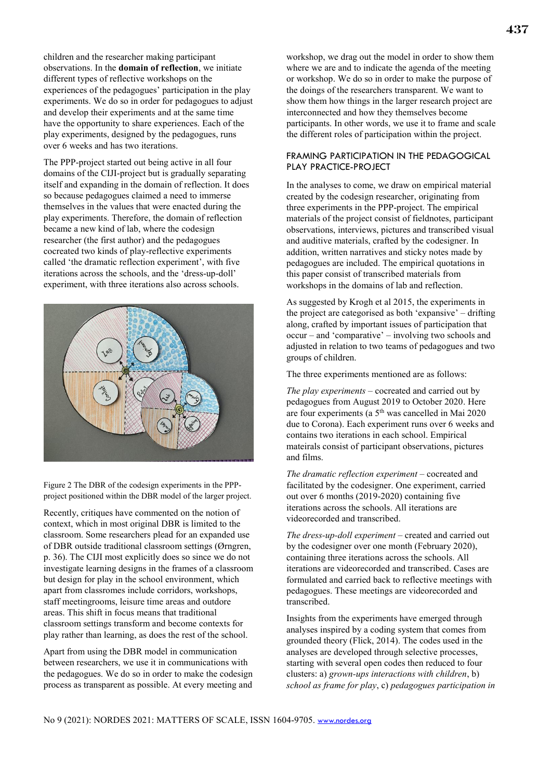children and the researcher making participant observations. In the **domain of reflection**, we initiate different types of reflective workshops on the experiences of the pedagogues' participation in the play experiments. We do so in order for pedagogues to adjust and develop their experiments and at the same time have the opportunity to share experiences. Each of the play experiments, designed by the pedagogues, runs over 6 weeks and has two iterations.

The PPP-project started out being active in all four domains of the CIJI-project but is gradually separating itself and expanding in the domain of reflection. It does so because pedagogues claimed a need to immerse themselves in the values that were enacted during the play experiments. Therefore, the domain of reflection became a new kind of lab, where the codesign researcher (the first author) and the pedagogues cocreated two kinds of play-reflective experiments called 'the dramatic reflection experiment', with five iterations across the schools, and the 'dress-up-doll' experiment, with three iterations also across schools.



Figure 2 The DBR of the codesign experiments in the PPPproject positioned within the DBR model of the larger project.

Recently, critiques have commented on the notion of context, which in most original DBR is limited to the classroom. Some researchers plead for an expanded use of DBR outside traditional classroom settings (Ørngren, p. 36). The CIJI most explicitly does so since we do not investigate learning designs in the frames of a classroom but design for play in the school environment, which apart from classromes include corridors, workshops, staff meetingrooms, leisure time areas and outdore areas. This shift in focus means that traditional classroom settings transform and become contexts for play rather than learning, as does the rest of the school.

Apart from using the DBR model in communication between researchers, we use it in communications with the pedagogues. We do so in order to make the codesign process as transparent as possible. At every meeting and

workshop, we drag out the model in order to show them where we are and to indicate the agenda of the meeting or workshop. We do so in order to make the purpose of the doings of the researchers transparent. We want to show them how things in the larger research project are interconnected and how they themselves become participants. In other words, we use it to frame and scale the different roles of participation within the project.

# FRAMING PARTICIPATION IN THE PEDAGOGICAL PLAY PRACTICE-PROJECT

In the analyses to come, we draw on empirical material created by the codesign researcher, originating from three experiments in the PPP-project. The empirical materials of the project consist of fieldnotes, participant observations, interviews, pictures and transcribed visual and auditive materials, crafted by the codesigner. In addition, written narratives and sticky notes made by pedagogues are included. The empirical quotations in this paper consist of transcribed materials from workshops in the domains of lab and reflection.

As suggested by Krogh et al 2015, the experiments in the project are categorised as both 'expansive' – drifting along, crafted by important issues of participation that occur – and 'comparative' – involving two schools and adjusted in relation to two teams of pedagogues and two groups of children.

The three experiments mentioned are as follows:

*The play experiments* – cocreated and carried out by pedagogues from August 2019 to October 2020. Here are four experiments (a  $5<sup>th</sup>$  was cancelled in Mai 2020 due to Corona). Each experiment runs over 6 weeks and contains two iterations in each school. Empirical mateirals consist of participant observations, pictures and films.

*The dramatic reflection experiment* – cocreated and facilitated by the codesigner. One experiment, carried out over 6 months (2019-2020) containing five iterations across the schools. All iterations are videorecorded and transcribed.

*The dress-up-doll experiment* – created and carried out by the codesigner over one month (February 2020), containing three iterations across the schools. All iterations are videorecorded and transcribed. Cases are formulated and carried back to reflective meetings with pedagogues. These meetings are videorecorded and transcribed.

Insights from the experiments have emerged through analyses inspired by a coding system that comes from grounded theory (Flick, 2014). The codes used in the analyses are developed through selective processes, starting with several open codes then reduced to four clusters: a) *grown-ups interactions with children*, b) *school as frame for play*, c) *pedagogues participation in*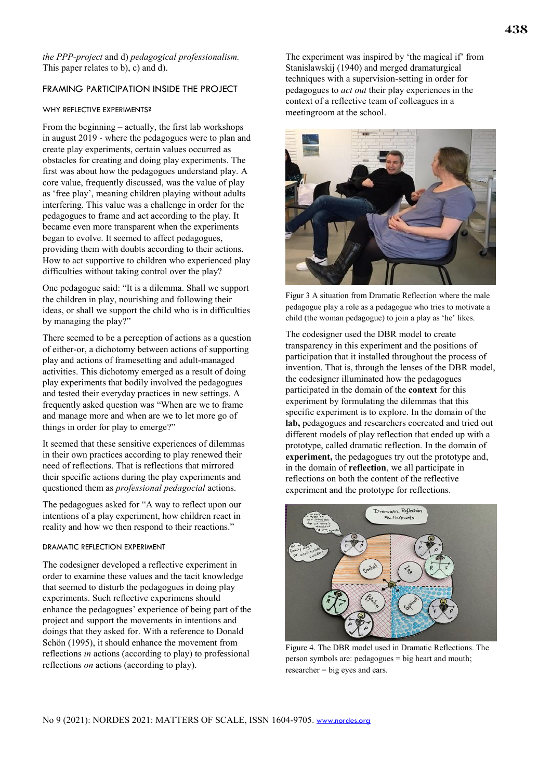*the PPP-project* and d) *pedagogical professionalism.* This paper relates to b), c) and d).

# FRAMING PARTICIPATION INSIDE THE PROJECT

#### WHY REFLECTIVE EXPERIMENTS?

From the beginning – actually, the first lab workshops in august 2019 - where the pedagogues were to plan and create play experiments, certain values occurred as obstacles for creating and doing play experiments. The first was about how the pedagogues understand play. A core value, frequently discussed, was the value of play as 'free play', meaning children playing without adults interfering. This value was a challenge in order for the pedagogues to frame and act according to the play. It became even more transparent when the experiments began to evolve. It seemed to affect pedagogues, providing them with doubts according to their actions. How to act supportive to children who experienced play difficulties without taking control over the play?

One pedagogue said: "It is a dilemma. Shall we support the children in play, nourishing and following their ideas, or shall we support the child who is in difficulties by managing the play?"

There seemed to be a perception of actions as a question of either-or, a dichotomy between actions of supporting play and actions of framesetting and adult-managed activities. This dichotomy emerged as a result of doing play experiments that bodily involved the pedagogues and tested their everyday practices in new settings. A frequently asked question was "When are we to frame and manage more and when are we to let more go of things in order for play to emerge?"

It seemed that these sensitive experiences of dilemmas in their own practices according to play renewed their need of reflections. That is reflections that mirrored their specific actions during the play experiments and questioned them as *professional pedagocial* actions.

The pedagogues asked for "A way to reflect upon our intentions of a play experiment, how children react in reality and how we then respond to their reactions."

#### DRAMATIC REFLECTION EXPERIMENT

The codesigner developed a reflective experiment in order to examine these values and the tacit knowledge that seemed to disturb the pedagogues in doing play experiments. Such reflective experimens should enhance the pedagogues' experience of being part of the project and support the movements in intentions and doings that they asked for. With a reference to Donald Schön (1995), it should enhance the movement from reflections *in* actions (according to play) to professional reflections *on* actions (according to play).

The experiment was inspired by 'the magical if' from Stanislawskij (1940) and merged dramaturgical techniques with a supervision-setting in order for pedagogues to *act out* their play experiences in the context of a reflective team of colleagues in a meetingroom at the school.



Figur 3 A situation from Dramatic Reflection where the male pedagogue play a role as a pedagogue who tries to motivate a child (the woman pedagogue) to join a play as 'he' likes.

The codesigner used the DBR model to create transparency in this experiment and the positions of participation that it installed throughout the process of invention. That is, through the lenses of the DBR model, the codesigner illuminated how the pedagogues participated in the domain of the **context** for this experiment by formulating the dilemmas that this specific experiment is to explore. In the domain of the **lab,** pedagogues and researchers cocreated and tried out different models of play reflection that ended up with a prototype, called dramatic reflection. In the domain of **experiment,** the pedagogues try out the prototype and, in the domain of **reflection**, we all participate in reflections on both the content of the reflective experiment and the prototype for reflections.



Figure 4. The DBR model used in Dramatic Reflections. The person symbols are: pedagogues = big heart and mouth; researcher = big eyes and ears.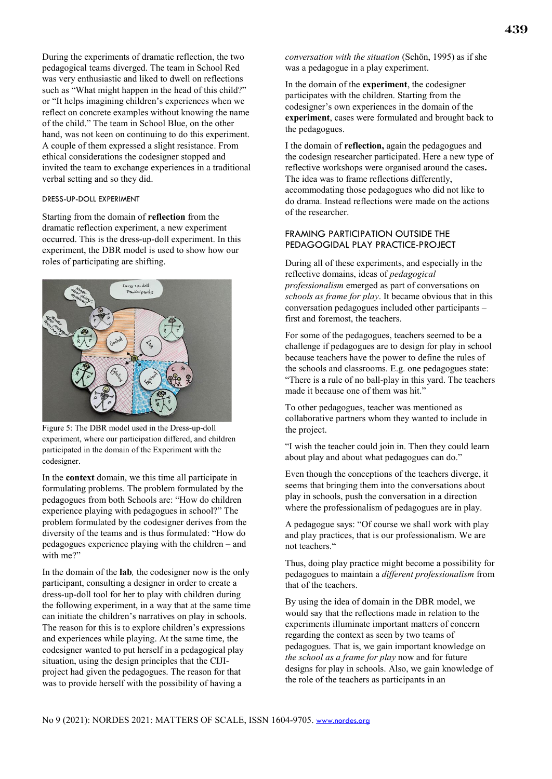During the experiments of dramatic reflection, the two pedagogical teams diverged. The team in School Red was very enthusiastic and liked to dwell on reflections such as "What might happen in the head of this child?" or "It helps imagining children's experiences when we reflect on concrete examples without knowing the name of the child." The team in School Blue, on the other hand, was not keen on continuing to do this experiment. A couple of them expressed a slight resistance. From ethical considerations the codesigner stopped and invited the team to exchange experiences in a traditional verbal setting and so they did.

#### DRESS-UP-DOLL EXPERIMENT

Starting from the domain of **reflection** from the dramatic reflection experiment, a new experiment occurred. This is the dress-up-doll experiment. In this experiment, the DBR model is used to show how our roles of participating are shifting.



Figure 5: The DBR model used in the Dress-up-doll experiment, where our participation differed, and children participated in the domain of the Experiment with the codesigner.

In the **context** domain, we this time all participate in formulating problems. The problem formulated by the pedagogues from both Schools are: "How do children experience playing with pedagogues in school?" The problem formulated by the codesigner derives from the diversity of the teams and is thus formulated: "How do pedagogues experience playing with the children – and with me?"

In the domain of the **lab***,* the codesigner now is the only participant, consulting a designer in order to create a dress-up-doll tool for her to play with children during the following experiment, in a way that at the same time can initiate the children's narratives on play in schools. The reason for this is to explore children's expressions and experiences while playing. At the same time, the codesigner wanted to put herself in a pedagogical play situation, using the design principles that the CIJIproject had given the pedagogues. The reason for that was to provide herself with the possibility of having a

*conversation with the situation* (Schön, 1995) as if she was a pedagogue in a play experiment.

In the domain of the **experiment**, the codesigner participates with the children. Starting from the codesigner's own experiences in the domain of the **experiment**, cases were formulated and brought back to the pedagogues.

I the domain of **reflection,** again the pedagogues and the codesign researcher participated. Here a new type of reflective workshops were organised around the cases**.** The idea was to frame reflections differently, accommodating those pedagogues who did not like to do drama. Instead reflections were made on the actions of the researcher.

# FRAMING PARTICIPATION OUTSIDE THE PEDAGOGIDAL PLAY PRACTICE-PROJECT

During all of these experiments, and especially in the reflective domains, ideas of *pedagogical professionalism* emerged as part of conversations on *schools as frame for play*. It became obvious that in this conversation pedagogues included other participants – first and foremost, the teachers.

For some of the pedagogues, teachers seemed to be a challenge if pedagogues are to design for play in school because teachers have the power to define the rules of the schools and classrooms. E.g. one pedagogues state: "There is a rule of no ball-play in this yard. The teachers made it because one of them was hit.'

To other pedagogues, teacher was mentioned as collaborative partners whom they wanted to include in the project.

"I wish the teacher could join in. Then they could learn about play and about what pedagogues can do."

Even though the conceptions of the teachers diverge, it seems that bringing them into the conversations about play in schools, push the conversation in a direction where the professionalism of pedagogues are in play.

A pedagogue says: "Of course we shall work with play and play practices, that is our professionalism. We are not teachers."

Thus, doing play practice might become a possibility for pedagogues to maintain a *different professionalism* from that of the teachers.

By using the idea of domain in the DBR model, we would say that the reflections made in relation to the experiments illuminate important matters of concern regarding the context as seen by two teams of pedagogues. That is, we gain important knowledge on *the school as a frame for play* now and for future designs for play in schools. Also, we gain knowledge of the role of the teachers as participants in an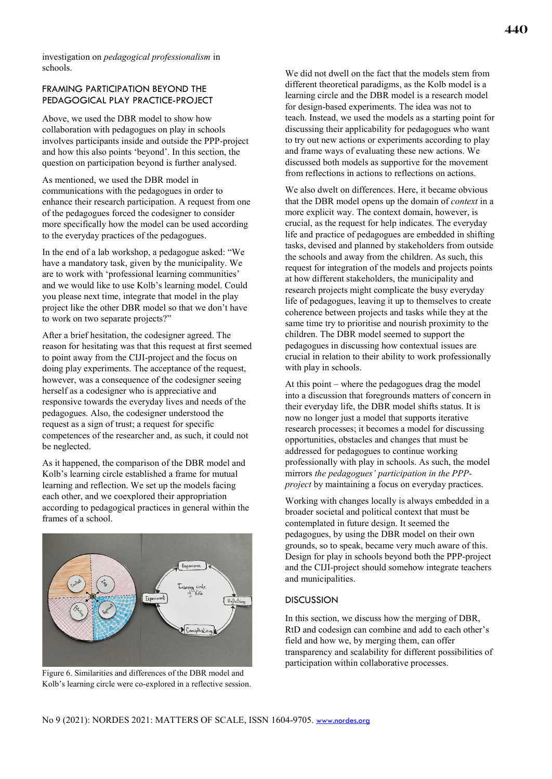investigation on *pedagogical professionalism* in schools.

# FRAMING PARTICIPATION BEYOND THE PEDAGOGICAL PLAY PRACTICE-PROJECT

Above, we used the DBR model to show how collaboration with pedagogues on play in schools involves participants inside and outside the PPP-project and how this also points 'beyond'. In this section, the question on participation beyond is further analysed.

As mentioned, we used the DBR model in communications with the pedagogues in order to enhance their research participation. A request from one of the pedagogues forced the codesigner to consider more specifically how the model can be used according to the everyday practices of the pedagogues.

In the end of a lab workshop, a pedagogue asked: "We have a mandatory task, given by the municipality. We are to work with 'professional learning communities' and we would like to use Kolb's learning model. Could you please next time, integrate that model in the play project like the other DBR model so that we don't have to work on two separate projects?"

After a brief hesitation, the codesigner agreed. The reason for hesitating was that this request at first seemed to point away from the CIJI-project and the focus on doing play experiments. The acceptance of the request, however, was a consequence of the codesigner seeing herself as a codesigner who is appreciative and responsive towards the everyday lives and needs of the pedagogues. Also, the codesigner understood the request as a sign of trust; a request for specific competences of the researcher and, as such, it could not be neglected.

As it happened, the comparison of the DBR model and Kolb's learning circle established a frame for mutual learning and reflection. We set up the models facing each other, and we coexplored their appropriation according to pedagogical practices in general within the frames of a school.



Figure 6. Similarities and differences of the DBR model and Kolb's learning circle were co-explored in a reflective session.

We did not dwell on the fact that the models stem from different theoretical paradigms, as the Kolb model is a learning circle and the DBR model is a research model for design-based experiments. The idea was not to teach. Instead, we used the models as a starting point for discussing their applicability for pedagogues who want to try out new actions or experiments according to play and frame ways of evaluating these new actions. We discussed both models as supportive for the movement from reflections in actions to reflections on actions.

We also dwelt on differences. Here, it became obvious that the DBR model opens up the domain of *context* in a more explicit way. The context domain, however, is crucial, as the request for help indicates. The everyday life and practice of pedagogues are embedded in shifting tasks, devised and planned by stakeholders from outside the schools and away from the children. As such, this request for integration of the models and projects points at how different stakeholders, the municipality and research projects might complicate the busy everyday life of pedagogues, leaving it up to themselves to create coherence between projects and tasks while they at the same time try to prioritise and nourish proximity to the children. The DBR model seemed to support the pedagogues in discussing how contextual issues are crucial in relation to their ability to work professionally with play in schools.

At this point – where the pedagogues drag the model into a discussion that foregrounds matters of concern in their everyday life, the DBR model shifts status. It is now no longer just a model that supports iterative research processes; it becomes a model for discussing opportunities, obstacles and changes that must be addressed for pedagogues to continue working professionally with play in schools. As such, the model mirrors *the pedagogues' participation in the PPPproject* by maintaining a focus on everyday practices.

Working with changes locally is always embedded in a broader societal and political context that must be contemplated in future design. It seemed the pedagogues, by using the DBR model on their own grounds, so to speak, became very much aware of this. Design for play in schools beyond both the PPP-project and the CIJI-project should somehow integrate teachers and municipalities.

# **DISCUSSION**

In this section, we discuss how the merging of DBR, RtD and codesign can combine and add to each other's field and how we, by merging them, can offer transparency and scalability for different possibilities of participation within collaborative processes.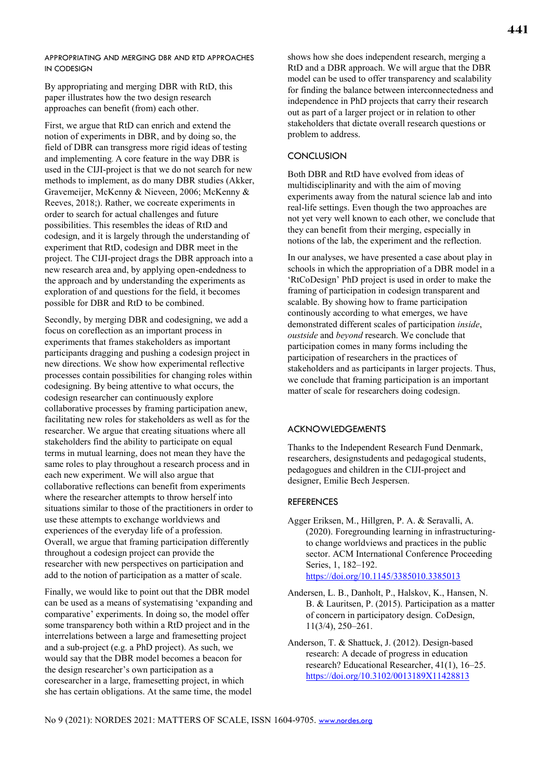APPROPRIATING AND MERGING DBR AND RTD APPROACHES IN CODESIGN

By appropriating and merging DBR with RtD, this paper illustrates how the two design research approaches can benefit (from) each other.

First, we argue that RtD can enrich and extend the notion of experiments in DBR, and by doing so, the field of DBR can transgress more rigid ideas of testing and implementing. A core feature in the way DBR is used in the CIJI-project is that we do not search for new methods to implement, as do many DBR studies (Akker, Gravemeijer, McKenny & Nieveen, 2006; McKenny & Reeves, 2018;). Rather, we cocreate experiments in order to search for actual challenges and future possibilities. This resembles the ideas of RtD and codesign, and it is largely through the understanding of experiment that RtD, codesign and DBR meet in the project. The CIJI-project drags the DBR approach into a new research area and, by applying open-endedness to the approach and by understanding the experiments as exploration of and questions for the field, it becomes possible for DBR and RtD to be combined.

Secondly, by merging DBR and codesigning, we add a focus on coreflection as an important process in experiments that frames stakeholders as important participants dragging and pushing a codesign project in new directions. We show how experimental reflective processes contain possibilities for changing roles within codesigning. By being attentive to what occurs, the codesign researcher can continuously explore collaborative processes by framing participation anew, facilitating new roles for stakeholders as well as for the researcher. We argue that creating situations where all stakeholders find the ability to participate on equal terms in mutual learning, does not mean they have the same roles to play throughout a research process and in each new experiment. We will also argue that collaborative reflections can benefit from experiments where the researcher attempts to throw herself into situations similar to those of the practitioners in order to use these attempts to exchange worldviews and experiences of the everyday life of a profession. Overall, we argue that framing participation differently throughout a codesign project can provide the researcher with new perspectives on participation and add to the notion of participation as a matter of scale.

Finally, we would like to point out that the DBR model can be used as a means of systematising 'expanding and comparative' experiments. In doing so, the model offer some transparency both within a RtD project and in the interrelations between a large and framesetting project and a sub-project (e.g. a PhD project). As such, we would say that the DBR model becomes a beacon for the design researcher's own participation as a coresearcher in a large, framesetting project, in which she has certain obligations. At the same time, the model shows how she does independent research, merging a RtD and a DBR approach. We will argue that the DBR model can be used to offer transparency and scalability for finding the balance between interconnectedness and independence in PhD projects that carry their research out as part of a larger project or in relation to other stakeholders that dictate overall research questions or problem to address.

#### **CONCLUSION**

Both DBR and RtD have evolved from ideas of multidisciplinarity and with the aim of moving experiments away from the natural science lab and into real-life settings. Even though the two approaches are not yet very well known to each other, we conclude that they can benefit from their merging, especially in notions of the lab, the experiment and the reflection.

In our analyses, we have presented a case about play in schools in which the appropriation of a DBR model in a 'RtCoDesign' PhD project is used in order to make the framing of participation in codesign transparent and scalable. By showing how to frame participation continously according to what emerges, we have demonstrated different scales of participation *inside*, *oustside* and *beyond* research. We conclude that participation comes in many forms including the participation of researchers in the practices of stakeholders and as participants in larger projects. Thus, we conclude that framing participation is an important matter of scale for researchers doing codesign.

## ACKNOWLEDGEMENTS

Thanks to the Independent Research Fund Denmark, researchers, designstudents and pedagogical students, pedagogues and children in the CIJI-project and designer, Emilie Bech Jespersen.

#### **REFERENCES**

- Agger Eriksen, M., Hillgren, P. A. & Seravalli, A. (2020). Foregrounding learning in infrastructuringto change worldviews and practices in the public sector. ACM International Conference Proceeding Series, 1, 182–192. https://doi.org/10.1145/3385010.3385013
- Andersen, L. B., Danholt, P., Halskov, K., Hansen, N. B. & Lauritsen, P. (2015). Participation as a matter of concern in participatory design. CoDesign, 11(3/4), 250–261.
- Anderson, T. & Shattuck, J. (2012). Design-based research: A decade of progress in education research? Educational Researcher, 41(1), 16–25. https://doi.org/10.3102/0013189X11428813